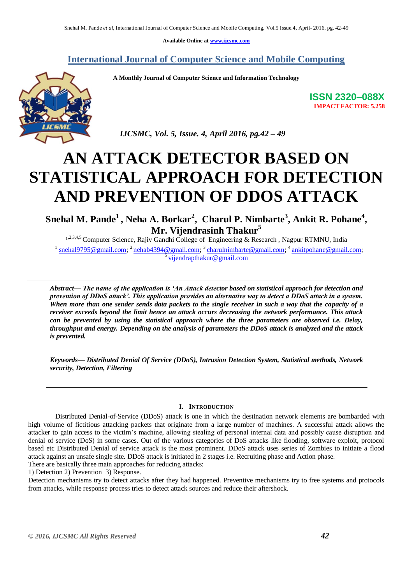**Available Online at [www.ijcsmc.com](http://www.ijcsmc.com/)**

## **International Journal of Computer Science and Mobile Computing**

 **A Monthly Journal of Computer Science and Information Technology**



 *IJCSMC, Vol. 5, Issue. 4, April 2016, pg.42 – 49*

# **AN ATTACK DETECTOR BASED ON STATISTICAL APPROACH FOR DETECTION AND PREVENTION OF DDOS ATTACK**

**Snehal M. Pande<sup>1</sup> , Neha A. Borkar<sup>2</sup> , Charul P. Nimbarte<sup>3</sup> , Ankit R. Pohane<sup>4</sup> , Mr. Vijendrasinh Thakur<sup>5</sup>**

1,2,3,4,5 Computer Science, Rajiv Gandhi College of Engineering & Research, Nagpur RTMNU, India <sup>1</sup> [snehal9795@gmail.com;](mailto:snehal9795@gmail.com) <sup>2</sup> [nehab4394@gmail.com;](mailto:nehab4394@gmail.com) <sup>3</sup> [charulnimbarte@gmail.com;](mailto:charulnimbarte@gmail.com) <sup>4</sup> [ankitpohane@gmail.com;](mailto:ankitpohane@gmail.com) <sup>5</sup> [vijendrapthakur@gmail.com](mailto:vijendrapthakur@gmail.com)

*Abstract— The name of the application is 'An Attack detector based on statistical approach for detection and prevention of DDoS attack'. This application provides an alternative way to detect a DDoS attack in a system. When more than one sender sends data packets to the single receiver in such a way that the capacity of a receiver exceeds beyond the limit hence an attack occurs decreasing the network performance. This attack can be prevented by using the statistical approach where the three parameters are observed i.e. Delay, throughput and energy. Depending on the analysis of parameters the DDoS attack is analyzed and the attack is prevented.*

*Keywords— Distributed Denial Of Service (DDoS), Intrusion Detection System, Statistical methods, Network security, Detection, Filtering*

## **I. INTRODUCTION**

Distributed Denial-of-Service (DDoS) attack is one in which the destination network elements are bombarded with high volume of fictitious attacking packets that originate from a large number of machines. A successful attack allows the attacker to gain access to the victim"s machine, allowing stealing of personal internal data and possibly cause disruption and denial of service (DoS) in some cases. Out of the various categories of DoS attacks like flooding, software exploit, protocol based etc Distributed Denial of service attack is the most prominent. DDoS attack uses series of Zombies to initiate a flood attack against an unsafe single site. DDoS attack is initiated in 2 stages i.e. Recruiting phase and Action phase.

There are basically three main approaches for reducing attacks: 1) Detection 2) Prevention 3) Response.

Detection mechanisms try to detect attacks after they had happened. Preventive mechanisms try to free systems and protocols from attacks, while response process tries to detect attack sources and reduce their aftershock.

**ISSN 2320–088X IMPACT FACTOR: 5.258**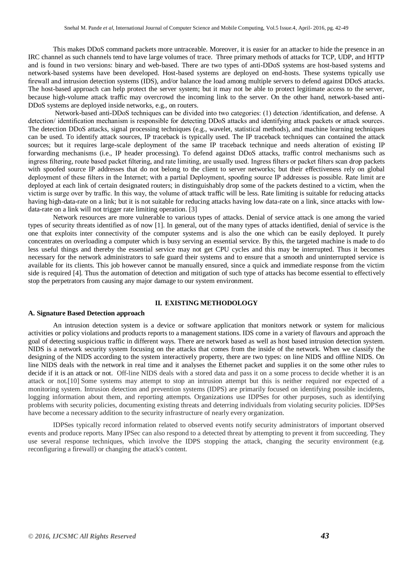This makes DDoS command packets more untraceable. Moreover, it is easier for an attacker to hide the presence in an IRC channel as such channels tend to have large volumes of trace. Three primary methods of attacks for TCP, UDP, and HTTP and is found in two versions: binary and web-based. There are two types of anti-DDoS systems are host-based systems and network-based systems have been developed. Host-based systems are deployed on end-hosts. These systems typically use firewall and intrusion detection systems (IDS), and/or balance the load among multiple servers to defend against DDoS attacks. The host-based approach can help protect the server system; but it may not be able to protect legitimate access to the server, because high-volume attack traffic may overcrowd the incoming link to the server. On the other hand, network-based anti-DDoS systems are deployed inside networks, e.g., on routers.

Network-based anti-DDoS techniques can be divided into two categories: (1) detection /identification, and defense. A detection/ identification mechanism is responsible for detecting DDoS attacks and identifying attack packets or attack sources. The detection DDoS attacks, signal processing techniques (e.g., wavelet, statistical methods), and machine learning techniques can be used. To identify attack sources, IP traceback is typically used. The IP traceback techniques can contained the attack sources; but it requires large-scale deployment of the same IP traceback technique and needs alteration of existing IP forwarding mechanisms (i.e., IP header processing). To defend against DDoS attacks, traffic control mechanisms such as ingress filtering, route based packet filtering, and rate limiting, are usually used. Ingress filters or packet filters scan drop packets with spoofed source IP addresses that do not belong to the client to server networks; but their effectiveness rely on global deployment of these filters in the Internet; with a partial Deployment, spoofing source IP addresses is possible. Rate limit are deployed at each link of certain designated routers; in distinguishably drop some of the packets destined to a victim, when the victim is surge over by traffic. In this way, the volume of attack traffic will be less. Rate limiting is suitable for reducing attacks having high-data-rate on a link; but it is not suitable for reducing attacks having low data-rate on a link, since attacks with lowdata-rate on a link will not trigger rate limiting operation. [3]

Network resources are more vulnerable to various types of attacks. Denial of service attack is one among the varied types of security threats identified as of now [1]. In general, out of the many types of attacks identified, denial of service is the one that exploits inter connectivity of the computer systems and is also the one which can be easily deployed. It purely concentrates on overloading a computer which is busy serving an essential service. By this, the targeted machine is made to do less useful things and thereby the essential service may not get CPU cycles and this may be interrupted. Thus it becomes necessary for the network administrators to safe guard their systems and to ensure that a smooth and uninterrupted service is available for its clients. This job however cannot be manually ensured, since a quick and immediate response from the victim side is required [4]. Thus the automation of detection and mitigation of such type of attacks has become essential to effectively stop the perpetrators from causing any major damage to our system environment.

#### **II. EXISTING METHODOLOGY**

#### **A. Signature Based Detection approach**

An intrusion detection system is a device or software application that monitors network or system for malicious activities or policy violations and products reports to a management stations. IDS come in a variety of flavours and approach the goal of detecting suspicious traffic in different ways. There are network based as well as host based intrusion detection system. NIDS is a network security system focusing on the attacks that comes from the inside of the network. When we classify the designing of the NIDS according to the system interactively property, there are two types: on line NIDS and offline NIDS. On line NIDS deals with the network in real time and it analyses the Ethernet packet and supplies it on the some other rules to decide if it is an attack or not. Off-line NIDS deals with a stored data and pass it on a some process to decide whether it is an attack or not.[10] Some systems may attempt to stop an intrusion attempt but this is neither required nor expected of a monitoring system. Intrusion detection and prevention systems (IDPS) are primarily focused on identifying possible incidents, logging information about them, and reporting attempts. Organizations use IDPSes for other purposes, such as identifying problems with security policies, documenting existing threats and deterring individuals from violating security policies. IDPSes have become a necessary addition to the security infrastructure of nearly every organization.

IDPSes typically record information related to observed events notify security administrators of important observed events and produce reports. Many IPSec can also respond to a detected threat by attempting to prevent it from succeeding. They use several response techniques, which involve the IDPS stopping the attack, changing the security environment (e.g. reconfiguring a firewall) or changing the attack's content.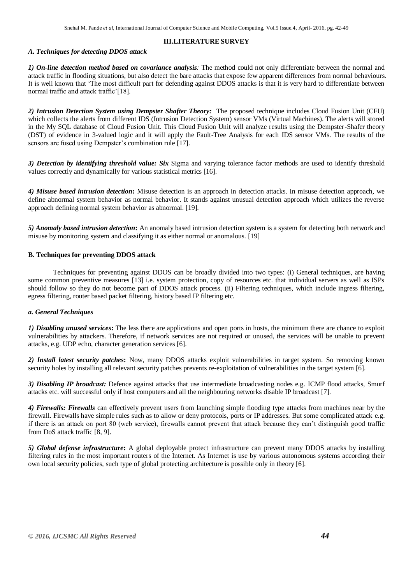## **III.LITERATURE SURVEY**

## *A. Techniques for detecting DDOS attack*

*1) On-line detection method based on covariance analysis:* The method could not only differentiate between the normal and attack traffic in flooding situations, but also detect the bare attacks that expose few apparent differences from normal behaviours. It is well known that "The most difficult part for defending against DDOS attacks is that it is very hard to differentiate between normal traffic and attack traffic'[18].

*2) Intrusion Detection System using Dempster Shafter Theory:*The proposed technique includes Cloud Fusion Unit (CFU) which collects the alerts from different IDS (Intrusion Detection System) sensor VMs (Virtual Machines). The alerts will stored in the My SQL database of Cloud Fusion Unit. This Cloud Fusion Unit will analyze results using the Dempster-Shafer theory (DST) of evidence in 3-valued logic and it will apply the Fault-Tree Analysis for each IDS sensor VMs. The results of the sensors are fused using Dempster's combination rule [17].

*3) Detection by identifying threshold value: Six* Sigma and varying tolerance factor methods are used to identify threshold values correctly and dynamically for various statistical metrics [16].

*4) Misuse based intrusion detection***:** Misuse detection is an approach in detection attacks. In misuse detection approach, we define abnormal system behavior as normal behavior. It stands against unusual detection approach which utilizes the reverse approach defining normal system behavior as abnormal. [19].

*5) Anomaly based intrusion detection***:** An anomaly based intrusion detection system is a system for detecting both network and misuse by monitoring system and classifying it as either normal or anomalous. [19]

## **B. Techniques for preventing DDOS attack**

Techniques for preventing against DDOS can be broadly divided into two types: (i) General techniques, are having some common preventive measures [13] i.e. system protection, copy of resources etc. that individual servers as well as ISPs should follow so they do not become part of DDOS attack process. (ii) Filtering techniques, which include ingress filtering, egress filtering, router based packet filtering, history based IP filtering etc.

## *a. General Techniques*

*1) Disabling unused services***:** The less there are applications and open ports in hosts, the minimum there are chance to exploit vulnerabilities by attackers. Therefore, if network services are not required or unused, the services will be unable to prevent attacks, e.g. UDP echo, character generation services [6].

*2) Install latest security patches***:** Now, many DDOS attacks exploit vulnerabilities in target system. So removing known security holes by installing all relevant security patches prevents re-exploitation of vulnerabilities in the target system [6].

*3) Disabling IP broadcast:* Defence against attacks that use intermediate broadcasting nodes e.g. ICMP flood attacks, Smurf attacks etc. will successful only if host computers and all the neighbouring networks disable IP broadcast [7].

*4) Firewalls: Firewalls* can effectively prevent users from launching simple flooding type attacks from machines near by the firewall. Firewalls have simple rules such as to allow or deny protocols, ports or IP addresses. But some complicated attack e.g. if there is an attack on port 80 (web service), firewalls cannot prevent that attack because they can"t distinguish good traffic from DoS attack traffic [8, 9].

*5) Global defense infrastructure***:** A global deployable protect infrastructure can prevent many DDOS attacks by installing filtering rules in the most important routers of the Internet. As Internet is use by various autonomous systems according their own local security policies, such type of global protecting architecture is possible only in theory [6].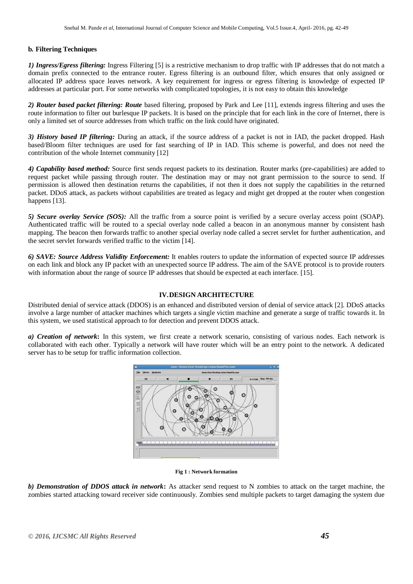## **b***.* **Filtering Techniques**

*1) Ingress/Egress filtering:* Ingress Filtering [5] is a restrictive mechanism to drop traffic with IP addresses that do not match a domain prefix connected to the entrance router. Egress filtering is an outbound filter, which ensures that only assigned or allocated IP address space leaves network. A key requirement for ingress or egress filtering is knowledge of expected IP addresses at particular port. For some networks with complicated topologies, it is not easy to obtain this knowledge

*2) Router based packet filtering: Route* based filtering, proposed by Park and Lee [11], extends ingress filtering and uses the route information to filter out burlesque IP packets. It is based on the principle that for each link in the core of Internet, there is only a limited set of source addresses from which traffic on the link could have originated.

*3) History based IP filtering:* During an attack, if the source address of a packet is not in IAD, the packet dropped. Hash based/Bloom filter techniques are used for fast searching of IP in IAD. This scheme is powerful, and does not need the contribution of the whole Internet community [12]

*4) Capability based method:* Source first sends request packets to its destination. Router marks (pre-capabilities) are added to request packet while passing through router. The destination may or may not grant permission to the source to send. If permission is allowed then destination returns the capabilities, if not then it does not supply the capabilities in the returned packet. DDoS attack, as packets without capabilities are treated as legacy and might get dropped at the router when congestion happens [13].

*5) Secure overlay Service (SOS):* All the traffic from a source point is verified by a secure overlay access point (SOAP). Authenticated traffic will be routed to a special overlay node called a beacon in an anonymous manner by consistent hash mapping. The beacon then forwards traffic to another special overlay node called a secret servlet for further authentication, and the secret servlet forwards verified traffic to the victim [14].

*6) SAVE: Source Address Validity Enforcement:* It enables routers to update the information of expected source IP addresses on each link and block any IP packet with an unexpected source IP address. The aim of the SAVE protocol is to provide routers with information about the range of source IP addresses that should be expected at each interface. [15].

## **IV.DESIGN ARCHITECTURE**

Distributed denial of service attack (DDOS) is an enhanced and distributed version of denial of service attack [2]. DDoS attacks involve a large number of attacker machines which targets a single victim machine and generate a surge of traffic towards it. In this system, we used statistical approach to for detection and prevent DDOS attack.

*a) Creation of network***:** In this system, we first create a network scenario, consisting of various nodes. Each network is collaborated with each other. Typically a network will have router which will be an entry point to the network. A dedicated server has to be setup for traffic information collection.



#### **Fig 1 : Network formation**

*b) Demonstration of DDOS attack in network***:** As attacker send request to N zombies to attack on the target machine, the zombies started attacking toward receiver side continuously. Zombies send multiple packets to target damaging the system due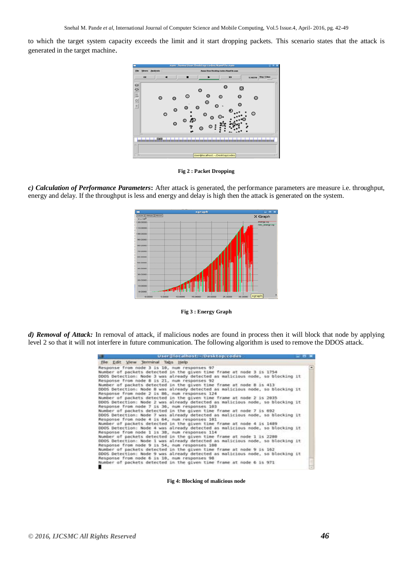to which the target system capacity exceeds the limit and it start dropping packets. This scenario states that the attack is generated in the target machine.



**Fig 2 : Packet Dropping**

*c) Calculation of Performance Parameters***:** After attack is generated, the performance parameters are measure i.e. throughput, energy and delay. If the throughput is less and energy and delay is high then the attack is generated on the system.



**Fig 3 : Energy Graph**

*d) Removal of Attack:* In removal of attack, if malicious nodes are found in process then it will block that node by applying level 2 so that it will not interfere in future communication. The following algorithm is used to remove the DDOS attack.

| User Hotalhost:-/Desktop/codes                                                                                                                                                                                                                                                                                               | <b>COM</b> |
|------------------------------------------------------------------------------------------------------------------------------------------------------------------------------------------------------------------------------------------------------------------------------------------------------------------------------|------------|
| File Edit View Terminal Tabs Help                                                                                                                                                                                                                                                                                            |            |
| Response from node 3 is 10, num responses 97<br>Number of packets detected in the given time frame at node 3 is 1754<br>DDOS Detection: Node 3 was already detected as malicious node, so blocking it<br>Response from node 8 is 21, num responses 92<br>Number of packets detected in the given time frame at node 8 is 413 |            |
| DDDS Detection: Node 8 was already detected as malicious node, so blocking it<br>Response from node 2 is 86, num responses 124<br>Number of packets detected in the given time frame at node 2 is 2035                                                                                                                       |            |
| DDOS Detection: Node 2 was already detected as malicious node, so blocking it<br>Response from node 7 is 36, num responses 183                                                                                                                                                                                               |            |
| Number of packets detected in the given time frame at node 7 is 692<br>DDOS Detection: Node 7 was already detected as malicious node, so blocking it<br>Response from node 4 is 64, num responses 101                                                                                                                        |            |
| Number of packets detected in the given time frame at node 4 is 1489<br>DDOS Detection: Node 4 was already detected as malicious node, so blocking it<br>Response from node 1 is 38, num responses 114                                                                                                                       |            |
| Number of packets detected in the given time frame at node 1 is 2280<br>DDDS Detection: Node 1 was already detected as malicious node, so blocking it<br>Response from node 9 is 54, num responses 100                                                                                                                       |            |
| Number of packets detected in the given time frame at node 9 is 162<br>DDOS Detection: Node 9 was already detected as malicious node, so blocking it<br>Response from node 6 is 10, num responses 98                                                                                                                         |            |
| Number of packets detected in the given time frame at node 6 is 971.                                                                                                                                                                                                                                                         |            |

**Fig 4: Blocking of malicious node**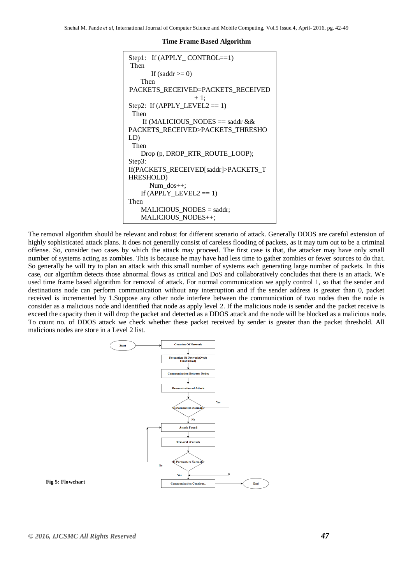#### **Time Frame Based Algorithm**

```
Step1: If (APPLY_CONTROL==1)
Then
      If (saddr \geq 0) Then
PACKETS_RECEIVED=PACKETS_RECEIVED
                  +1Step2: If (APPLY_LEVEL2 == 1) Then
   If (MALICIOUS_NODES == saddr &&\&&PACKETS_RECEIVED>PACKETS_THRESHO
LD)
  Then
    Drop (p, DROP_RTR_ROUTE_LOOP);
Step3:
If(PACKETS_RECEIVED[saddr]>PACKETS_T
HRESHOLD)
      Num_dos++;
   If (APPLY_LEVEL2 == 1)Then 
   MALICIOUS NODES = saddr;
   MALICIOUS NODES++;
```
The removal algorithm should be relevant and robust for different scenario of attack. Generally DDOS are careful extension of highly sophisticated attack plans. It does not generally consist of careless flooding of packets, as it may turn out to be a criminal offense. So, consider two cases by which the attack may proceed. The first case is that, the attacker may have only small number of systems acting as zombies. This is because he may have had less time to gather zombies or fewer sources to do that. So generally he will try to plan an attack with this small number of systems each generating large number of packets. In this case, our algorithm detects those abnormal flows as critical and DoS and collaboratively concludes that there is an attack. We used time frame based algorithm for removal of attack. For normal communication we apply control 1, so that the sender and destinations node can perform communication without any interruption and if the sender address is greater than 0, packet received is incremented by 1.Suppose any other node interfere between the communication of two nodes then the node is consider as a malicious node and identified that node as apply level 2. If the malicious node is sender and the packet receive is exceed the capacity then it will drop the packet and detected as a DDOS attack and the node will be blocked as a malicious node. To count no. of DDOS attack we check whether these packet received by sender is greater than the packet threshold. All malicious nodes are store in a Level 2 list.



#### **Fig 5: Flowchart**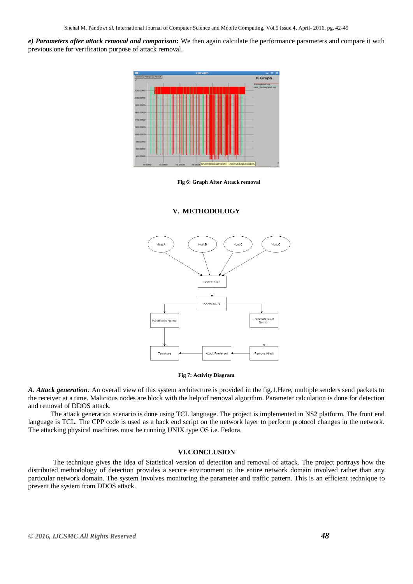*e) Parameters after attack removal and comparison***:** We then again calculate the performance parameters and compare it with previous one for verification purpose of attack removal.



**Fig 6: Graph After Attack removal**

#### **V. METHODOLOGY**



**Fig 7: Activity Diagram**

*A. Attack generation:* An overall view of this system architecture is provided in the fig.1.Here, multiple senders send packets to the receiver at a time. Malicious nodes are block with the help of removal algorithm. Parameter calculation is done for detection and removal of DDOS attack.

 The attack generation scenario is done using TCL language. The project is implemented in NS2 platform. The front end language is TCL. The CPP code is used as a back end script on the network layer to perform protocol changes in the network. The attacking physical machines must be running UNIX type OS i.e. Fedora.

#### **VI.CONCLUSION**

The technique gives the idea of Statistical version of detection and removal of attack. The project portrays how the distributed methodology of detection provides a secure environment to the entire network domain involved rather than any particular network domain. The system involves monitoring the parameter and traffic pattern. This is an efficient technique to prevent the system from DDOS attack.